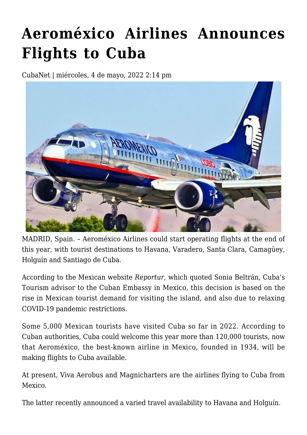## **[Aeroméxico Airlines Announces](https://www.cubanet.org/english/aeromexico-airlines-announces-flights-to-cuba/) [Flights to Cuba](https://www.cubanet.org/english/aeromexico-airlines-announces-flights-to-cuba/)**

CubaNet | miércoles, 4 de mayo, 2022 2:14 pm



MADRID, Spain. – Aeroméxico Airlines could start operating flights at the end of this year, with tourist destinations to Havana, Varadero, Santa Clara, Camagüey, Holguín and Santiago de Cuba.

According to the Mexican website *Reportur*, which quoted Sonia Beltrán, Cuba's Tourism advisor to the Cuban Embassy in Mexico, this decision is based on the rise in Mexican tourist demand for visiting the island, and also due to relaxing COVID-19 pandemic restrictions.

Some 5,000 Mexican tourists have visited Cuba so far in 2022. According to Cuban authorities, Cuba could welcome this year more than 120,000 tourists, now that Aeroméxico, the best-known airline in Mexico, founded in 1934, will be making flights to Cuba available.

At present, Viva Aerobus and Magnicharters are the airlines flying to Cuba from Mexico.

The latter recently announced a varied travel availability to Havana and Holguín.